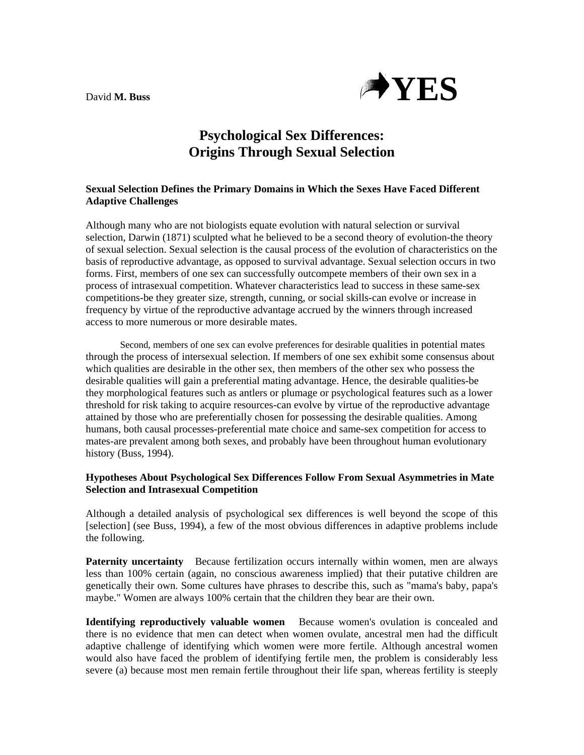

# **Psychological Sex Differences: Origins Through Sexual Selection**

## **Sexual Selection Defines the Primary Domains in Which the Sexes Have Faced Different Adaptive Challenges**

Although many who are not biologists equate evolution with natural selection or survival selection, Darwin (1871) sculpted what he believed to be a second theory of evolution-the theory of sexual selection. Sexual selection is the causal process of the evolution of characteristics on the basis of reproductive advantage, as opposed to survival advantage. Sexual selection occurs in two forms. First, members of one sex can successfully outcompete members of their own sex in a process of intrasexual competition. Whatever characteristics lead to success in these same-sex competitions-be they greater size, strength, cunning, or social skills-can evolve or increase in frequency by virtue of the reproductive advantage accrued by the winners through increased access to more numerous or more desirable mates.

Second, members of one sex can evolve preferences for desirable qualities in potential mates through the process of intersexual selection. If members of one sex exhibit some consensus about which qualities are desirable in the other sex, then members of the other sex who possess the desirable qualities will gain a preferential mating advantage. Hence, the desirable qualities-be they morphological features such as antlers or plumage or psychological features such as a lower threshold for risk taking to acquire resources-can evolve by virtue of the reproductive advantage attained by those who are preferentially chosen for possessing the desirable qualities. Among humans, both causal processes-preferential mate choice and same-sex competition for access to mates-are prevalent among both sexes, and probably have been throughout human evolutionary history (Buss, 1994).

### **Hypotheses About Psychological Sex Differences Follow From Sexual Asymmetries in Mate Selection and Intrasexual Competition**

Although a detailed analysis of psychological sex differences is well beyond the scope of this [selection] (see Buss, 1994), a few of the most obvious differences in adaptive problems include the following.

**Paternity uncertainty** Because fertilization occurs internally within women, men are always less than 100% certain (again, no conscious awareness implied) that their putative children are genetically their own. Some cultures have phrases to describe this, such as "mama's baby, papa's maybe." Women are always 100% certain that the children they bear are their own.

**Identifying reproductively valuable women** Because women's ovulation is concealed and there is no evidence that men can detect when women ovulate, ancestral men had the difficult adaptive challenge of identifying which women were more fertile. Although ancestral women would also have faced the problem of identifying fertile men, the problem is considerably less severe (a) because most men remain fertile throughout their life span, whereas fertility is steeply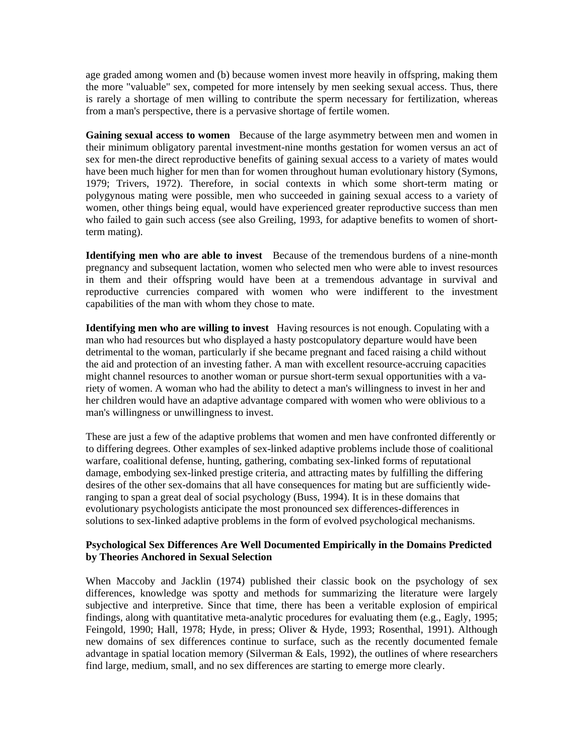age graded among women and (b) because women invest more heavily in offspring, making them the more "valuable" sex, competed for more intensely by men seeking sexual access. Thus, there is rarely a shortage of men willing to contribute the sperm necessary for fertilization, whereas from a man's perspective, there is a pervasive shortage of fertile women.

**Gaining sexual access to women** Because of the large asymmetry between men and women in their minimum obligatory parental investment-nine months gestation for women versus an act of sex for men-the direct reproductive benefits of gaining sexual access to a variety of mates would have been much higher for men than for women throughout human evolutionary history (Symons, 1979; Trivers, 1972). Therefore, in social contexts in which some short-term mating or polygynous mating were possible, men who succeeded in gaining sexual access to a variety of women, other things being equal, would have experienced greater reproductive success than men who failed to gain such access (see also Greiling, 1993, for adaptive benefits to women of shortterm mating).

**Identifying men who are able to invest** Because of the tremendous burdens of a nine-month pregnancy and subsequent lactation, women who selected men who were able to invest resources in them and their offspring would have been at a tremendous advantage in survival and reproductive currencies compared with women who were indifferent to the investment capabilities of the man with whom they chose to mate.

**Identifying men who are willing to invest** Having resources is not enough. Copulating with a man who had resources but who displayed a hasty postcopulatory departure would have been detrimental to the woman, particularly if she became pregnant and faced raising a child without the aid and protection of an investing father. A man with excellent resource-accruing capacities might channel resources to another woman or pursue short-term sexual opportunities with a variety of women. A woman who had the ability to detect a man's willingness to invest in her and her children would have an adaptive advantage compared with women who were oblivious to a man's willingness or unwillingness to invest.

These are just a few of the adaptive problems that women and men have confronted differently or to differing degrees. Other examples of sex-linked adaptive problems include those of coalitional warfare, coalitional defense, hunting, gathering, combating sex-linked forms of reputational damage, embodying sex-linked prestige criteria, and attracting mates by fulfilling the differing desires of the other sex-domains that all have consequences for mating but are sufficiently wideranging to span a great deal of social psychology (Buss, 1994). It is in these domains that evolutionary psychologists anticipate the most pronounced sex differences-differences in solutions to sex-linked adaptive problems in the form of evolved psychological mechanisms.

### **Psychological Sex Differences Are Well Documented Empirically in the Domains Predicted by Theories Anchored in Sexual Selection**

When Maccoby and Jacklin (1974) published their classic book on the psychology of sex differences, knowledge was spotty and methods for summarizing the literature were largely subjective and interpretive. Since that time, there has been a veritable explosion of empirical findings, along with quantitative meta-analytic procedures for evaluating them (e.g., Eagly, 1995; Feingold, 1990; Hall, 1978; Hyde, in press; Oliver & Hyde, 1993; Rosenthal, 1991). Although new domains of sex differences continue to surface, such as the recently documented female advantage in spatial location memory (Silverman  $\&$  Eals, 1992), the outlines of where researchers find large, medium, small, and no sex differences are starting to emerge more clearly.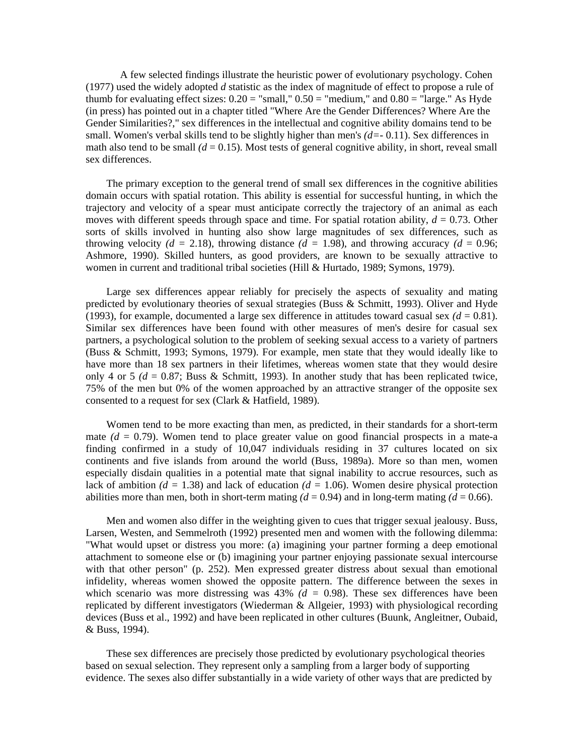A few selected findings illustrate the heuristic power of evolutionary psychology. Cohen (1977) used the widely adopted *d* statistic as the index of magnitude of effect to propose a rule of thumb for evaluating effect sizes:  $0.20 =$  "small,"  $0.50 =$  "medium," and  $0.80 =$  "large." As Hyde (in press) has pointed out in a chapter titled "Where Are the Gender Differences? Where Are the Gender Similarities?," sex differences in the intellectual and cognitive ability domains tend to be small. Women's verbal skills tend to be slightly higher than men's *(d=-* 0.11). Sex differences in math also tend to be small  $(d = 0.15)$ . Most tests of general cognitive ability, in short, reveal small sex differences.

The primary exception to the general trend of small sex differences in the cognitive abilities domain occurs with spatial rotation. This ability is essential for successful hunting, in which the trajectory and velocity of a spear must anticipate correctly the trajectory of an animal as each moves with different speeds through space and time. For spatial rotation ability,  $d = 0.73$ . Other sorts of skills involved in hunting also show large magnitudes of sex differences, such as throwing velocity  $(d = 2.18)$ , throwing distance  $(d = 1.98)$ , and throwing accuracy  $(d = 0.96)$ ; Ashmore, 1990). Skilled hunters, as good providers, are known to be sexually attractive to women in current and traditional tribal societies (Hill & Hurtado, 1989; Symons, 1979).

Large sex differences appear reliably for precisely the aspects of sexuality and mating predicted by evolutionary theories of sexual strategies (Buss & Schmitt, 1993). Oliver and Hyde (1993), for example, documented a large sex difference in attitudes toward casual sex  $(d = 0.81)$ . Similar sex differences have been found with other measures of men's desire for casual sex partners, a psychological solution to the problem of seeking sexual access to a variety of partners (Buss & Schmitt, 1993; Symons, 1979). For example, men state that they would ideally like to have more than 18 sex partners in their lifetimes, whereas women state that they would desire only 4 or 5  $(d = 0.87;$  Buss & Schmitt, 1993). In another study that has been replicated twice, 75% of the men but 0% of the women approached by an attractive stranger of the opposite sex consented to a request for sex (Clark & Hatfield, 1989).

Women tend to be more exacting than men, as predicted, in their standards for a short-term mate  $(d = 0.79)$ . Women tend to place greater value on good financial prospects in a mate-a finding confirmed in a study of 10,047 individuals residing in 37 cultures located on six continents and five islands from around the world (Buss, 1989a). More so than men, women especially disdain qualities in a potential mate that signal inability to accrue resources, such as lack of ambition  $(d = 1.38)$  and lack of education  $(d = 1.06)$ . Women desire physical protection abilities more than men, both in short-term mating  $(d = 0.94)$  and in long-term mating  $(d = 0.66)$ .

Men and women also differ in the weighting given to cues that trigger sexual jealousy. Buss, Larsen, Westen, and Semmelroth (1992) presented men and women with the following dilemma: "What would upset or distress you more: (a) imagining your partner forming a deep emotional attachment to someone else or (b) imagining your partner enjoying passionate sexual intercourse with that other person" (p. 252). Men expressed greater distress about sexual than emotional infidelity, whereas women showed the opposite pattern. The difference between the sexes in which scenario was more distressing was  $43\%$  ( $d = 0.98$ ). These sex differences have been replicated by different investigators (Wiederman & Allgeier, 1993) with physiological recording devices (Buss et al., 1992) and have been replicated in other cultures (Buunk, Angleitner, Oubaid, & Buss, 1994).

These sex differences are precisely those predicted by evolutionary psychological theories based on sexual selection. They represent only a sampling from a larger body of supporting evidence. The sexes also differ substantially in a wide variety of other ways that are predicted by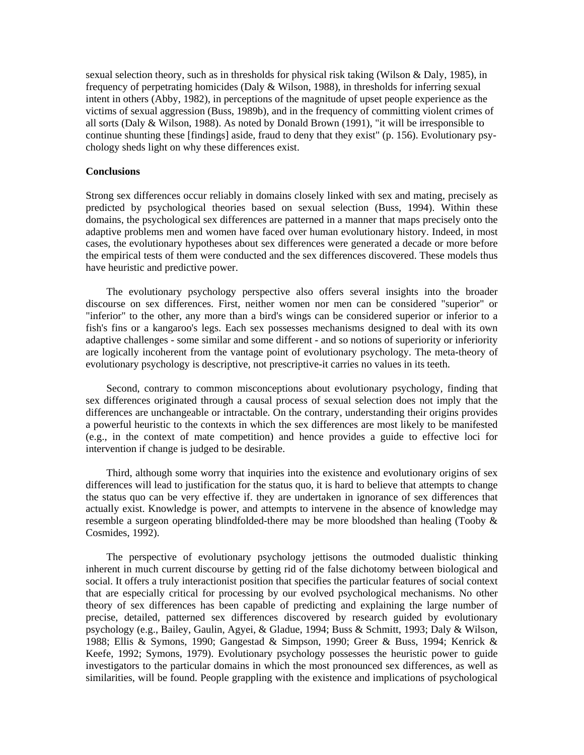sexual selection theory, such as in thresholds for physical risk taking (Wilson & Daly, 1985), in frequency of perpetrating homicides (Daly & Wilson, 1988), in thresholds for inferring sexual intent in others (Abby, 1982), in perceptions of the magnitude of upset people experience as the victims of sexual aggression (Buss, 1989b), and in the frequency of committing violent crimes of all sorts (Daly & Wilson, 1988). As noted by Donald Brown (1991), "it will be irresponsible to continue shunting these [findings] aside, fraud to deny that they exist" (p. 156). Evolutionary psychology sheds light on why these differences exist.

#### **Conclusions**

Strong sex differences occur reliably in domains closely linked with sex and mating, precisely as predicted by psychological theories based on sexual selection (Buss, 1994). Within these domains, the psychological sex differences are patterned in a manner that maps precisely onto the adaptive problems men and women have faced over human evolutionary history. Indeed, in most cases, the evolutionary hypotheses about sex differences were generated a decade or more before the empirical tests of them were conducted and the sex differences discovered. These models thus have heuristic and predictive power.

The evolutionary psychology perspective also offers several insights into the broader discourse on sex differences. First, neither women nor men can be considered "superior" or "inferior" to the other, any more than a bird's wings can be considered superior or inferior to a fish's fins or a kangaroo's legs. Each sex possesses mechanisms designed to deal with its own adaptive challenges - some similar and some different - and so notions of superiority or inferiority are logically incoherent from the vantage point of evolutionary psychology. The meta-theory of evolutionary psychology is descriptive, not prescriptive-it carries no values in its teeth.

Second, contrary to common misconceptions about evolutionary psychology, finding that sex differences originated through a causal process of sexual selection does not imply that the differences are unchangeable or intractable. On the contrary, understanding their origins provides a powerful heuristic to the contexts in which the sex differences are most likely to be manifested (e.g., in the context of mate competition) and hence provides a guide to effective loci for intervention if change is judged to be desirable.

Third, although some worry that inquiries into the existence and evolutionary origins of sex differences will lead to justification for the status quo, it is hard to believe that attempts to change the status quo can be very effective if. they are undertaken in ignorance of sex differences that actually exist. Knowledge is power, and attempts to intervene in the absence of knowledge may resemble a surgeon operating blindfolded-there may be more bloodshed than healing (Tooby & Cosmides, 1992).

The perspective of evolutionary psychology jettisons the outmoded dualistic thinking inherent in much current discourse by getting rid of the false dichotomy between biological and social. It offers a truly interactionist position that specifies the particular features of social context that are especially critical for processing by our evolved psychological mechanisms. No other theory of sex differences has been capable of predicting and explaining the large number of precise, detailed, patterned sex differences discovered by research guided by evolutionary psychology (e.g., Bailey, Gaulin, Agyei, & Gladue, 1994; Buss & Schmitt, 1993; Daly & Wilson, 1988; Ellis & Symons, 1990; Gangestad & Simpson, 1990; Greer & Buss, 1994; Kenrick & Keefe, 1992; Symons, 1979). Evolutionary psychology possesses the heuristic power to guide investigators to the particular domains in which the most pronounced sex differences, as well as similarities, will be found. People grappling with the existence and implications of psychological